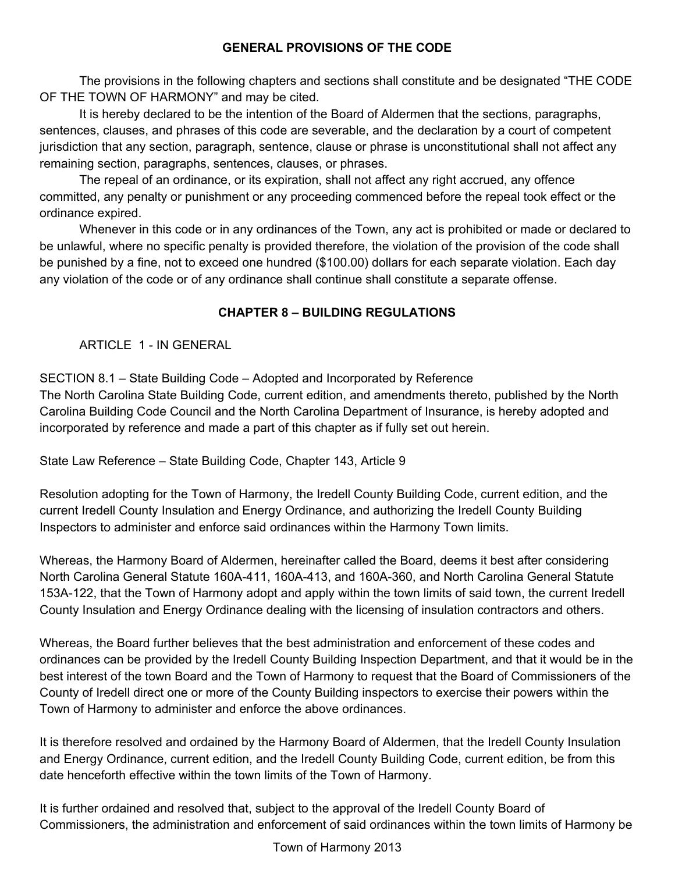## **GENERAL PROVISIONS OF THE CODE**

The provisions in the following chapters and sections shall constitute and be designated "THE CODE OF THE TOWN OF HARMONY" and may be cited.

It is hereby declared to be the intention of the Board of Aldermen that the sections, paragraphs, sentences, clauses, and phrases of this code are severable, and the declaration by a court of competent jurisdiction that any section, paragraph, sentence, clause or phrase is unconstitutional shall not affect any remaining section, paragraphs, sentences, clauses, or phrases.

The repeal of an ordinance, or its expiration, shall not affect any right accrued, any offence committed, any penalty or punishment or any proceeding commenced before the repeal took effect or the ordinance expired.

Whenever in this code or in any ordinances of the Town, any act is prohibited or made or declared to be unlawful, where no specific penalty is provided therefore, the violation of the provision of the code shall be punished by a fine, not to exceed one hundred (\$100.00) dollars for each separate violation. Each day any violation of the code or of any ordinance shall continue shall constitute a separate offense.

## **CHAPTER 8 – BUILDING REGULATIONS**

ARTICLE 1 - IN GENERAL

SECTION 8.1 – State Building Code – Adopted and Incorporated by Reference

The North Carolina State Building Code, current edition, and amendments thereto, published by the North Carolina Building Code Council and the North Carolina Department of Insurance, is hereby adopted and incorporated by reference and made a part of this chapter as if fully set out herein.

State Law Reference – State Building Code, Chapter 143, Article 9

Resolution adopting for the Town of Harmony, the Iredell County Building Code, current edition, and the current Iredell County Insulation and Energy Ordinance, and authorizing the Iredell County Building Inspectors to administer and enforce said ordinances within the Harmony Town limits.

Whereas, the Harmony Board of Aldermen, hereinafter called the Board, deems it best after considering North Carolina General Statute 160A-411, 160A-413, and 160A-360, and North Carolina General Statute 153A-122, that the Town of Harmony adopt and apply within the town limits of said town, the current Iredell County Insulation and Energy Ordinance dealing with the licensing of insulation contractors and others.

Whereas, the Board further believes that the best administration and enforcement of these codes and ordinances can be provided by the Iredell County Building Inspection Department, and that it would be in the best interest of the town Board and the Town of Harmony to request that the Board of Commissioners of the County of Iredell direct one or more of the County Building inspectors to exercise their powers within the Town of Harmony to administer and enforce the above ordinances.

It is therefore resolved and ordained by the Harmony Board of Aldermen, that the Iredell County Insulation and Energy Ordinance, current edition, and the Iredell County Building Code, current edition, be from this date henceforth effective within the town limits of the Town of Harmony.

It is further ordained and resolved that, subject to the approval of the Iredell County Board of Commissioners, the administration and enforcement of said ordinances within the town limits of Harmony be

Town of Harmony 2013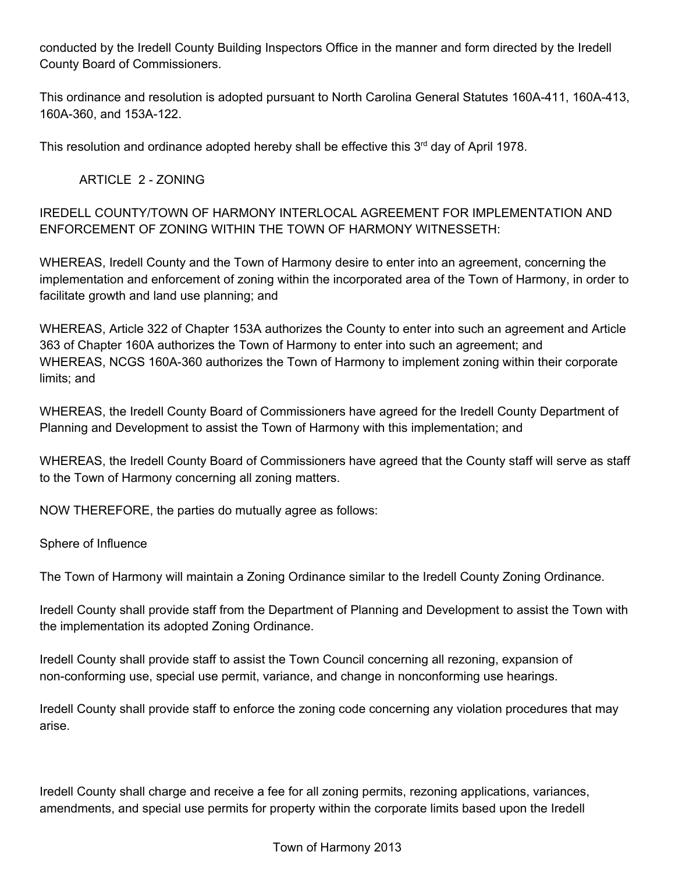conducted by the Iredell County Building Inspectors Office in the manner and form directed by the Iredell County Board of Commissioners.

This ordinance and resolution is adopted pursuant to North Carolina General Statutes 160A-411, 160A-413, 160A-360, and 153A-122.

This resolution and ordinance adopted hereby shall be effective this  $3<sup>rd</sup>$  day of April 1978.

ARTICLE 2 - ZONING

IREDELL COUNTY/TOWN OF HARMONY INTERLOCAL AGREEMENT FOR IMPLEMENTATION AND ENFORCEMENT OF ZONING WITHIN THE TOWN OF HARMONY WITNESSETH:

WHEREAS, Iredell County and the Town of Harmony desire to enter into an agreement, concerning the implementation and enforcement of zoning within the incorporated area of the Town of Harmony, in order to facilitate growth and land use planning; and

WHEREAS, Article 322 of Chapter 153A authorizes the County to enter into such an agreement and Article 363 of Chapter 160A authorizes the Town of Harmony to enter into such an agreement; and WHEREAS, NCGS 160A-360 authorizes the Town of Harmony to implement zoning within their corporate limits; and

WHEREAS, the Iredell County Board of Commissioners have agreed for the Iredell County Department of Planning and Development to assist the Town of Harmony with this implementation; and

WHEREAS, the Iredell County Board of Commissioners have agreed that the County staff will serve as staff to the Town of Harmony concerning all zoning matters.

NOW THEREFORE, the parties do mutually agree as follows:

Sphere of Influence

The Town of Harmony will maintain a Zoning Ordinance similar to the Iredell County Zoning Ordinance.

Iredell County shall provide staff from the Department of Planning and Development to assist the Town with the implementation its adopted Zoning Ordinance.

Iredell County shall provide staff to assist the Town Council concerning all rezoning, expansion of non-conforming use, special use permit, variance, and change in nonconforming use hearings.

Iredell County shall provide staff to enforce the zoning code concerning any violation procedures that may arise.

Iredell County shall charge and receive a fee for all zoning permits, rezoning applications, variances, amendments, and special use permits for property within the corporate limits based upon the Iredell